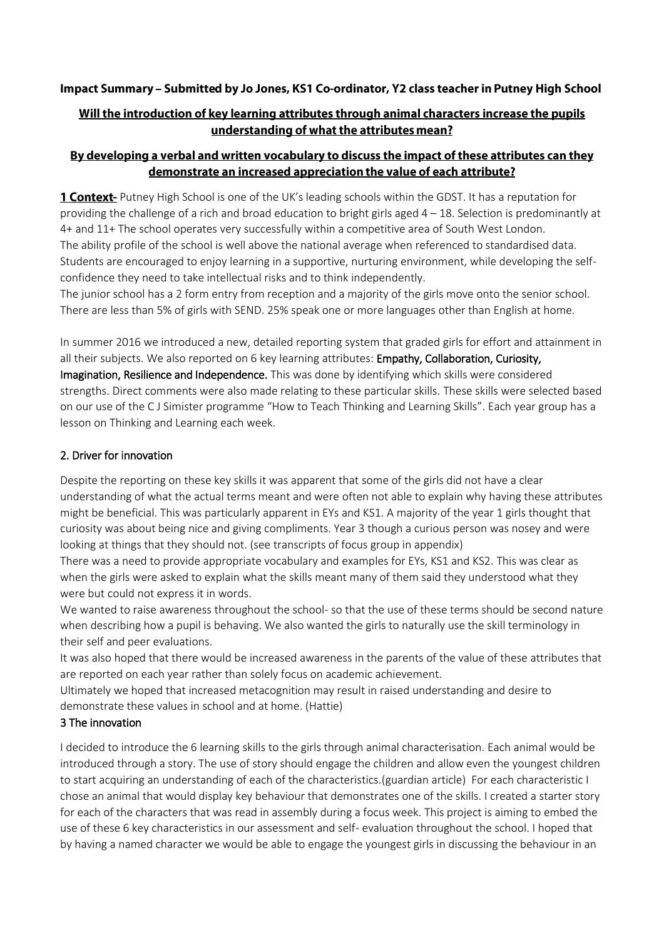# Impact Summary - Submitted by Jo Jones, KS1 Co-ordinator, Y2 class teacher in Putney High School

# Will the introduction of key learning attributes through animal characters increase the pupils understanding of what the attributes mean?

### By developing a verbal and written vocabulary to discuss the impact of these attributes can they demonstrate an increased appreciation the value of each attribute?

1 **Context** Putney High School is one of the UK's leading schools within the GDST. It has a reputation for providing the challenge of a rich and broad education to bright girls aged 4 – 18. Selection is predominantly at 4+ and 11+ The school operates very successfully within a competitive area of South West London. The ability profile of the school is well above the national average when referenced to standardised data. Students are encouraged to enjoy learning in a supportive, nurturing environment, while developing the selfconfidence they need to take intellectual risks and to think independently.

The junior school has a 2 form entry from reception and a majority of the girls move onto the senior school. There are less than 5% of girls with SEND. 25% speak one or more languages other than English at home.

In summer 2016 we introduced a new, detailed reporting system that graded girls for effort and attainment in all their subjects. We also reported on 6 key learning attributes: Empathy, Collaboration, Curiosity, Imagination, Resilience and Independence. This was done by identifying which skills were considered strengths. Direct comments were also made relating to these particular skills. These skills were selected based on our use of the C J Simister programme "How to Teach Thinking and Learning Skills". Each year group has a lesson on Thinking and Learning each week.

### 2. Driver for innovation

Despite the reporting on these key skills it was apparent that some of the girls did not have a clear understanding of what the actual terms meant and were often not able to explain why having these attributes might be beneficial. This was particularly apparent in EYs and KS1. A majority of the year 1 girls thought that curiosity was about being nice and giving compliments. Year 3 though a curious person was nosey and were looking at things that they should not. (see transcripts of focus group in appendix)

There was a need to provide appropriate vocabulary and examples for EYs, KS1 and KS2. This was clear as when the girls were asked to explain what the skills meant many of them said they understood what they were but could not express it in words.

We wanted to raise awareness throughout the school- so that the use of these terms should be second nature when describing how a pupil is behaving. We also wanted the girls to naturally use the skill terminology in their self and peer evaluations.

It was also hoped that there would be increased awareness in the parents of the value of these attributes that are reported on each year rather than solely focus on academic achievement.

Ultimately we hoped that increased metacognition may result in raised understanding and desire to demonstrate these values in school and at home. (Hattie)

### 3 The innovation

I decided to introduce the 6 learning skills to the girls through animal characterisation. Each animal would be introduced through a story. The use of story should engage the children and allow even the youngest children to start acquiring an understanding of each of the characteristics.(guardian article) For each characteristic I chose an animal that would display key behaviour that demonstrates one of the skills. I created a starter story for each of the characters that was read in assembly during a focus week. This project is aiming to embed the use of these 6 key characteristics in our assessment and self- evaluation throughout the school. I hoped that by having a named character we would be able to engage the youngest girls in discussing the behaviour in an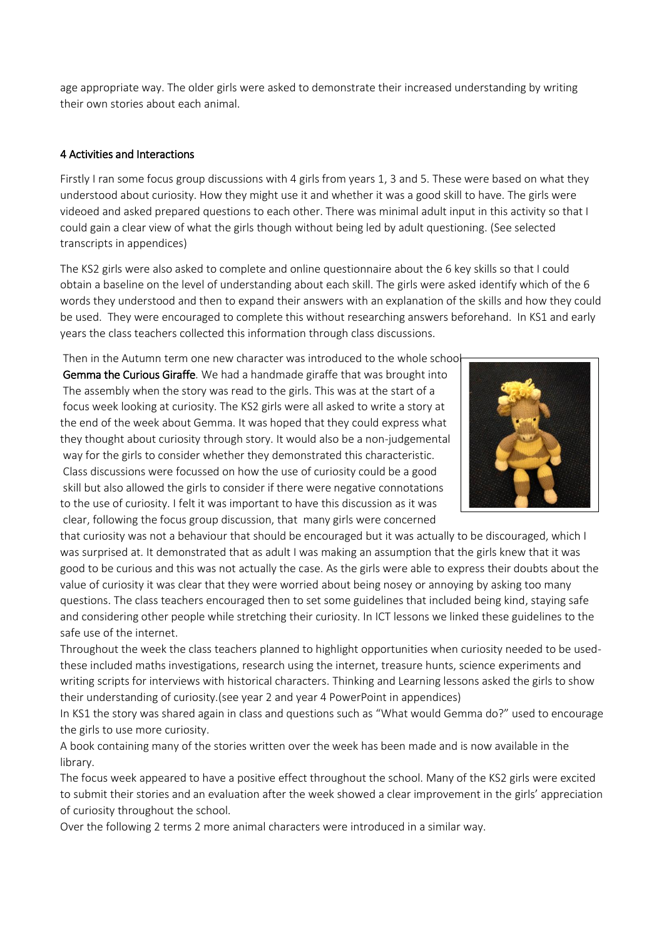age appropriate way. The older girls were asked to demonstrate their increased understanding by writing their own stories about each animal.

### 4 Activities and Interactions

Firstly I ran some focus group discussions with 4 girls from years 1, 3 and 5. These were based on what they understood about curiosity. How they might use it and whether it was a good skill to have. The girls were videoed and asked prepared questions to each other. There was minimal adult input in this activity so that I could gain a clear view of what the girls though without being led by adult questioning. (See selected transcripts in appendices)

The KS2 girls were also asked to complete and online questionnaire about the 6 key skills so that I could obtain a baseline on the level of understanding about each skill. The girls were asked identify which of the 6 words they understood and then to expand their answers with an explanation of the skills and how they could be used. They were encouraged to complete this without researching answers beforehand. In KS1 and early years the class teachers collected this information through class discussions.

Then in the Autumn term one new character was introduced to the whole school-Gemma the Curious Giraffe. We had a handmade giraffe that was brought into The assembly when the story was read to the girls. This was at the start of a focus week looking at curiosity. The KS2 girls were all asked to write a story at the end of the week about Gemma. It was hoped that they could express what they thought about curiosity through story. It would also be a non-judgemental way for the girls to consider whether they demonstrated this characteristic. Class discussions were focussed on how the use of curiosity could be a good skill but also allowed the girls to consider if there were negative connotations to the use of curiosity. I felt it was important to have this discussion as it was clear, following the focus group discussion, that many girls were concerned



that curiosity was not a behaviour that should be encouraged but it was actually to be discouraged, which I was surprised at. It demonstrated that as adult I was making an assumption that the girls knew that it was good to be curious and this was not actually the case. As the girls were able to express their doubts about the value of curiosity it was clear that they were worried about being nosey or annoying by asking too many questions. The class teachers encouraged then to set some guidelines that included being kind, staying safe and considering other people while stretching their curiosity. In ICT lessons we linked these guidelines to the safe use of the internet.

Throughout the week the class teachers planned to highlight opportunities when curiosity needed to be usedthese included maths investigations, research using the internet, treasure hunts, science experiments and writing scripts for interviews with historical characters. Thinking and Learning lessons asked the girls to show their understanding of curiosity.(see year 2 and year 4 PowerPoint in appendices)

In KS1 the story was shared again in class and questions such as "What would Gemma do?" used to encourage the girls to use more curiosity.

A book containing many of the stories written over the week has been made and is now available in the library.

The focus week appeared to have a positive effect throughout the school. Many of the KS2 girls were excited to submit their stories and an evaluation after the week showed a clear improvement in the girls' appreciation of curiosity throughout the school.

Over the following 2 terms 2 more animal characters were introduced in a similar way.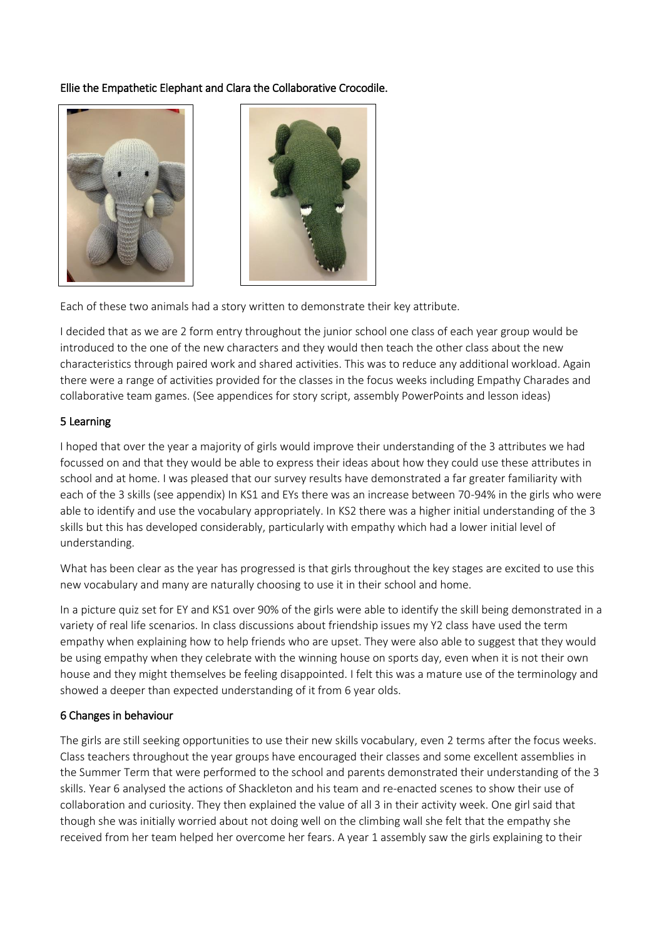### Ellie the Empathetic Elephant and Clara the Collaborative Crocodile.





Each of these two animals had a story written to demonstrate their key attribute.

I decided that as we are 2 form entry throughout the junior school one class of each year group would be introduced to the one of the new characters and they would then teach the other class about the new characteristics through paired work and shared activities. This was to reduce any additional workload. Again there were a range of activities provided for the classes in the focus weeks including Empathy Charades and collaborative team games. (See appendices for story script, assembly PowerPoints and lesson ideas)

### 5 Learning

I hoped that over the year a majority of girls would improve their understanding of the 3 attributes we had focussed on and that they would be able to express their ideas about how they could use these attributes in school and at home. I was pleased that our survey results have demonstrated a far greater familiarity with each of the 3 skills (see appendix) In KS1 and EYs there was an increase between 70-94% in the girls who were able to identify and use the vocabulary appropriately. In KS2 there was a higher initial understanding of the 3 skills but this has developed considerably, particularly with empathy which had a lower initial level of understanding.

What has been clear as the year has progressed is that girls throughout the key stages are excited to use this new vocabulary and many are naturally choosing to use it in their school and home.

In a picture quiz set for EY and KS1 over 90% of the girls were able to identify the skill being demonstrated in a variety of real life scenarios. In class discussions about friendship issues my Y2 class have used the term empathy when explaining how to help friends who are upset. They were also able to suggest that they would be using empathy when they celebrate with the winning house on sports day, even when it is not their own house and they might themselves be feeling disappointed. I felt this was a mature use of the terminology and showed a deeper than expected understanding of it from 6 year olds.

#### 6 Changes in behaviour

The girls are still seeking opportunities to use their new skills vocabulary, even 2 terms after the focus weeks. Class teachers throughout the year groups have encouraged their classes and some excellent assemblies in the Summer Term that were performed to the school and parents demonstrated their understanding of the 3 skills. Year 6 analysed the actions of Shackleton and his team and re-enacted scenes to show their use of collaboration and curiosity. They then explained the value of all 3 in their activity week. One girl said that though she was initially worried about not doing well on the climbing wall she felt that the empathy she received from her team helped her overcome her fears. A year 1 assembly saw the girls explaining to their